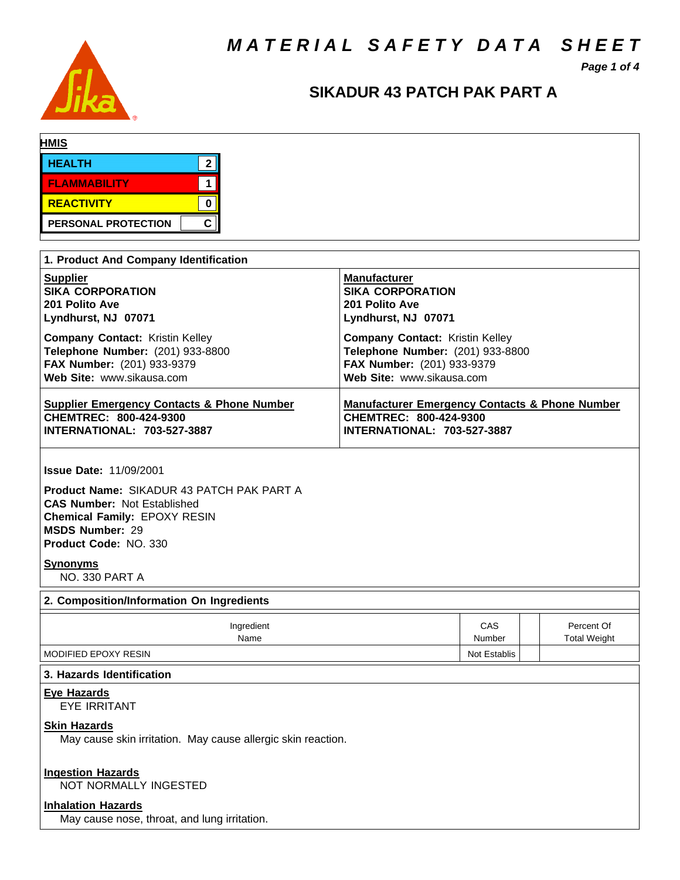*M A T E R I A L S A F E T Y D A T A S H E E T*



# *Page 1 of 4*

# **SIKADUR 43 PATCH PAK PART A**

| <b>HMIS</b>                           |    |
|---------------------------------------|----|
| <b>HEALTH</b>                         | ົ  |
| <b>FLAMMABILITY</b>                   |    |
| <b>REACTIVITY</b>                     |    |
| PERSONAL PROTECTION                   | C. |
| 1. Product And Company Identification |    |

| <b>1. I Toduct And Company Rentincation</b>                                       |                                                           |
|-----------------------------------------------------------------------------------|-----------------------------------------------------------|
| <b>Supplier</b>                                                                   | <b>Manufacturer</b>                                       |
| <b>SIKA CORPORATION</b>                                                           | <b>SIKA CORPORATION</b>                                   |
| 201 Polito Ave                                                                    | 201 Polito Ave                                            |
| Lyndhurst, NJ 07071                                                               | Lyndhurst, NJ 07071                                       |
| <b>Company Contact: Kristin Kelley</b>                                            | <b>Company Contact: Kristin Kelley</b>                    |
| Telephone Number: (201) 933-8800                                                  | Telephone Number: (201) 933-8800                          |
| FAX Number: (201) 933-9379                                                        | FAX Number: (201) 933-9379                                |
| Web Site: www.sikausa.com                                                         | Web Site: www.sikausa.com                                 |
| <b>Supplier Emergency Contacts &amp; Phone Number</b>                             | <b>Manufacturer Emergency Contacts &amp; Phone Number</b> |
| CHEMTREC: 800-424-9300                                                            | CHEMTREC: 800-424-9300                                    |
| <b>INTERNATIONAL: 703-527-3887</b>                                                | <b>INTERNATIONAL: 703-527-3887</b>                        |
| <b>Issue Date: 11/09/2001</b><br><b>Product Name: SIKADUR 43 PATCH PAK PART A</b> |                                                           |

**CAS Number:** Not Established **Chemical Family:** EPOXY RESIN **MSDS Number:** 29 **Product Code:** NO. 330

### **Synonyms**

NO. 330 PART A

| 2. Composition/Information On Ingredients |               |  |                                   |  |  |  |  |
|-------------------------------------------|---------------|--|-----------------------------------|--|--|--|--|
| Ingredient<br>Name                        | CAS<br>Number |  | Percent Of<br><b>Total Weight</b> |  |  |  |  |
| MODIFIED EPOXY RESIN                      | Not Establis  |  |                                   |  |  |  |  |

# **3. Hazards Identification**

#### **Eye Hazards**

EYE IRRITANT

# **Skin Hazards**

May cause skin irritation. May cause allergic skin reaction.

# **Ingestion Hazards**

NOT NORMALLY INGESTED

# **Inhalation Hazards**

May cause nose, throat, and lung irritation.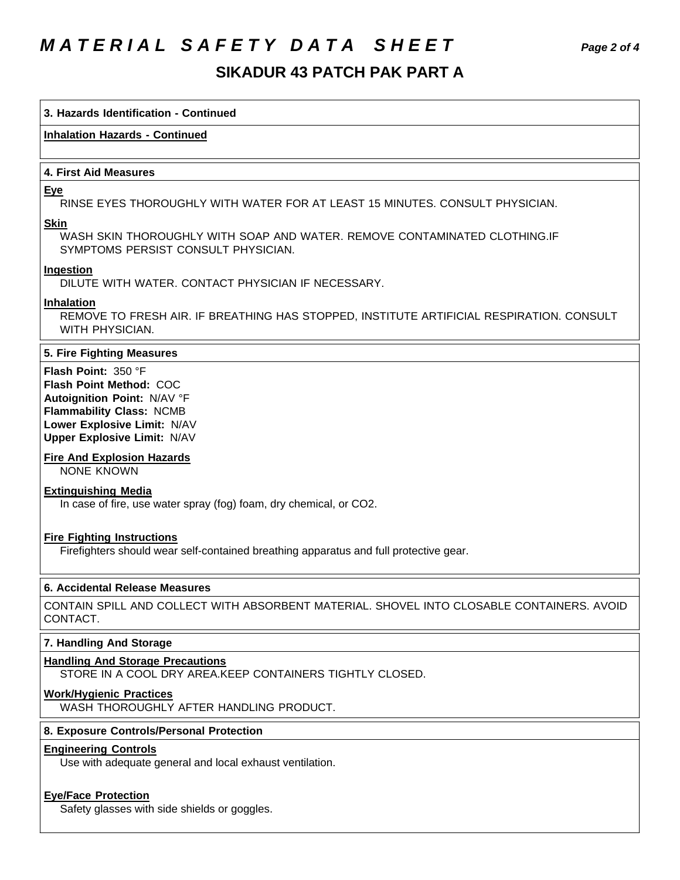# *M A T E R I A L S A F E T Y D A T A S H E E T Page 2 of 4*

# **SIKADUR 43 PATCH PAK PART A**

# **3. Hazards Identification - Continued**

# **Inhalation Hazards - Continued**

# **4. First Aid Measures**

### **Eye**

RINSE EYES THOROUGHLY WITH WATER FOR AT LEAST 15 MINUTES. CONSULT PHYSICIAN.

#### **Skin**

WASH SKIN THOROUGHLY WITH SOAP AND WATER. REMOVE CONTAMINATED CLOTHING.IF SYMPTOMS PERSIST CONSULT PHYSICIAN.

### **Ingestion**

DILUTE WITH WATER. CONTACT PHYSICIAN IF NECESSARY.

### **Inhalation**

REMOVE TO FRESH AIR. IF BREATHING HAS STOPPED, INSTITUTE ARTIFICIAL RESPIRATION. CONSULT WITH PHYSICIAN.

# **5. Fire Fighting Measures**

**Flash Point:** 350 °F **Flash Point Method:** COC **Autoignition Point:** N/AV °F **Flammability Class:** NCMB **Lower Explosive Limit:** N/AV **Upper Explosive Limit:** N/AV

# **Fire And Explosion Hazards**

NONE KNOWN

# **Extinguishing Media**

In case of fire, use water spray (fog) foam, dry chemical, or CO2.

# **Fire Fighting Instructions**

Firefighters should wear self-contained breathing apparatus and full protective gear.

# **6. Accidental Release Measures**

CONTAIN SPILL AND COLLECT WITH ABSORBENT MATERIAL. SHOVEL INTO CLOSABLE CONTAINERS. AVOID CONTACT.

# **7. Handling And Storage**

# **Handling And Storage Precautions**

STORE IN A COOL DRY AREA.KEEP CONTAINERS TIGHTLY CLOSED.

# **Work/Hygienic Practices**

WASH THOROUGHLY AFTER HANDLING PRODUCT.

# **8. Exposure Controls/Personal Protection**

### **Engineering Controls**

Use with adequate general and local exhaust ventilation.

# **Eye/Face Protection**

Safety glasses with side shields or goggles.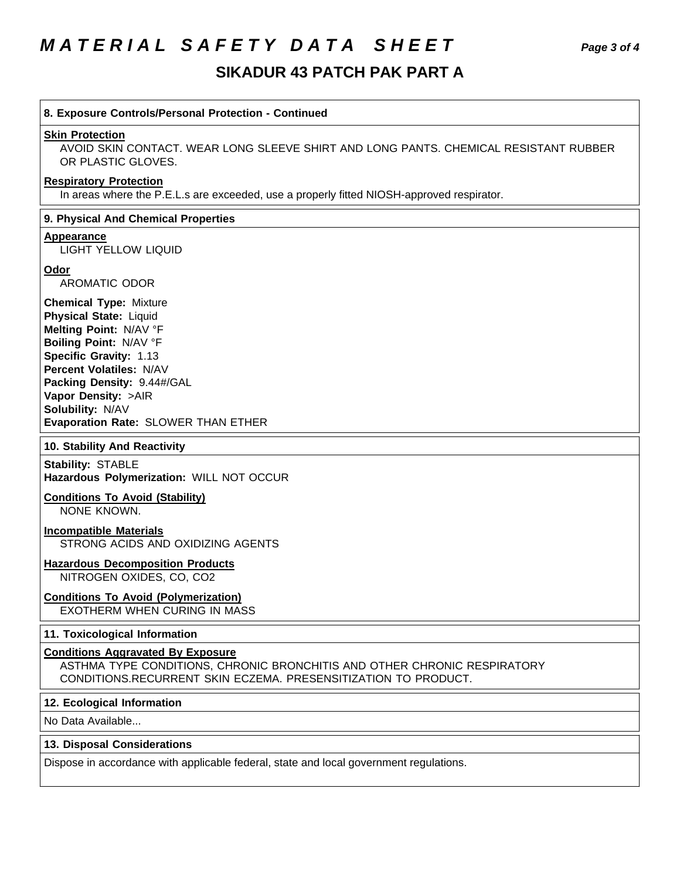# *M A T E R I A L S A F E T Y D A T A S H E E T Page 3 of 4*

# **SIKADUR 43 PATCH PAK PART A**

| 8. Exposure Controls/Personal Protection - Continued                                                                                                                                                                                                                                           |
|------------------------------------------------------------------------------------------------------------------------------------------------------------------------------------------------------------------------------------------------------------------------------------------------|
| <b>Skin Protection</b><br>AVOID SKIN CONTACT. WEAR LONG SLEEVE SHIRT AND LONG PANTS. CHEMICAL RESISTANT RUBBER<br>OR PLASTIC GLOVES.                                                                                                                                                           |
| <b>Respiratory Protection</b><br>In areas where the P.E.L.s are exceeded, use a properly fitted NIOSH-approved respirator.                                                                                                                                                                     |
| 9. Physical And Chemical Properties                                                                                                                                                                                                                                                            |
| <b>Appearance</b><br><b>LIGHT YELLOW LIQUID</b>                                                                                                                                                                                                                                                |
| Odor<br><b>AROMATIC ODOR</b>                                                                                                                                                                                                                                                                   |
| <b>Chemical Type: Mixture</b><br><b>Physical State: Liquid</b><br>Melting Point: N/AV °F<br>Boiling Point: N/AV °F<br>Specific Gravity: 1.13<br><b>Percent Volatiles: N/AV</b><br>Packing Density: 9.44#/GAL<br>Vapor Density: >AIR<br>Solubility: N/AV<br>Evaporation Rate: SLOWER THAN ETHER |
| 10. Stability And Reactivity                                                                                                                                                                                                                                                                   |
| <b>Stability: STABLE</b><br>Hazardous Polymerization: WILL NOT OCCUR                                                                                                                                                                                                                           |
| <b>Conditions To Avoid (Stability)</b><br>NONE KNOWN.                                                                                                                                                                                                                                          |
| <b>Incompatible Materials</b><br>STRONG ACIDS AND OXIDIZING AGENTS                                                                                                                                                                                                                             |
| <b>Hazardous Decomposition Products</b><br>NITROGEN OXIDES, CO, CO2                                                                                                                                                                                                                            |
| <b>Conditions To Avoid (Polymerization)</b><br><b>EXOTHERM WHEN CURING IN MASS</b>                                                                                                                                                                                                             |
| 11. Toxicological Information                                                                                                                                                                                                                                                                  |
| <b>Conditions Aggravated By Exposure</b><br>ASTHMA TYPE CONDITIONS, CHRONIC BRONCHITIS AND OTHER CHRONIC RESPIRATORY<br>CONDITIONS.RECURRENT SKIN ECZEMA, PRESENSITIZATION TO PRODUCT.                                                                                                         |
| 12. Ecological Information                                                                                                                                                                                                                                                                     |
| No Data Available                                                                                                                                                                                                                                                                              |
| 13. Disposal Considerations                                                                                                                                                                                                                                                                    |
| Dispose in accordance with applicable federal, state and local government regulations.                                                                                                                                                                                                         |